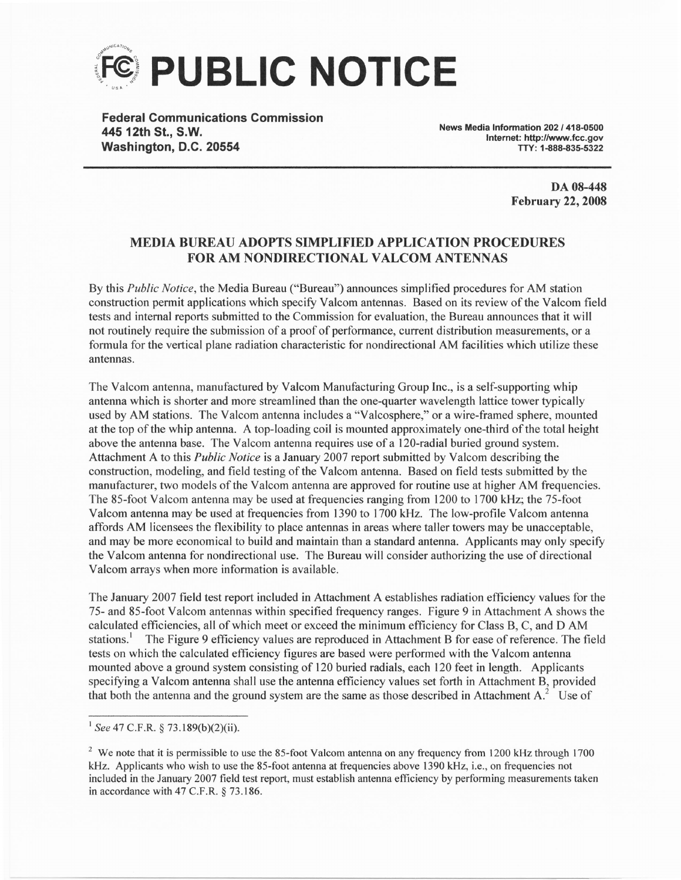

Federal Gommunications Gommission 44512th St., S.W. Washington, D.G. 20554

News Media Information 202 / 418-0500 Internet: http://www.fcc.gov TTY: 1-888-835-5322

> DA 08-448 **February 22, 2008**

## MEDIA BUREAU ADOPTS SIMPLIFIED APPLICATION PROCEDURES FOR AM NONDIRECTIONAL VALCOM ANTENNAS

By this Public Notice, the Media Bureau ("Bureau") announces simplified procedures for AM station construction permit applications which speciff Valcom antennas. Based on its review of the Valcom field tests and internal reports submitted to the Commission for evaluation, the Bureau announces that it will not routinely require the submission of a proof of performance, current distribution measurements, or a formula for the vertical plane radiation characteristic for nondirectional AM facilities which utilize these antennas.

The Valcom antenna, manufactured by Valcom Manufacturing Group Inc., is a self-supporting whip antenna which is shorter and more streamlined than the one-quarter wavelength lattice tower typically used by AM stations. The Valcom antenna includes a "Valcosphere," or a wire-framed sphere, mounted at the top of the whip antenna. A top-loading coil is mounted approximately one-third of the total height above the antenna base. The Valcom antenna requires use of a 120-radial buried ground system. Attachment A to this *Public Notice* is a January 2007 report submitted by Valcom describing the construction, modeling, and field testing of the Valcom antenna. Based on field tests submitted by the manufacturer, two models of the Valcom antenna are approved for routine use at higher AM frequencies. The 85-foot Valcom antenna may be used at frequencies ranging from 1200 to 1700 kHz; the 75-foot Valcom antenna may be used at frequencies from 1390 to 1700 kHz. The low-profile Valcom antenna affords AM licensees the flexibility to place antennas in areas where taller towers may be unacceptable, and may be more economical to build and maintain than a standard antenna. Applicants may only specify the Valcom antenna for nondirectional use. The Bureau will consider authorizing the use of directional Valcom arrays when more information is available.

The January 2007 field test report included in Attachment A establishes radiation efficiency values for the 75- and 85-foot Valcom antennas within specified frequency ranges. Figure 9 in Attachment A shows the calculated efficiencies, all of which meet or exceed the minimum efficiency for Class B, C, and D AM stations.<sup>1</sup> The Figure 9 efficiency values are reproduced in Attachment B for ease of reference. The field tests on which the calculated efficiency figures are based were performed with the Valcom antenna mounted above a ground system consisting of 120 buried radials, each 120 feet in length. Applicants specifying a Valcom antenna shall use the antenna efficiency values set forth in Attachment B, provided that both the antenna and the ground system are the same as those described in Attachment A.' Use of

 $1$  See 47 C.F.R. § 73.189(b)(2)(ii).

<sup>&</sup>lt;sup>2</sup> We note that it is permissible to use the 85-foot Valcom antenna on any frequency from 1200 kHz through 1700 kHz. Applicants who wish to use the 85-foot antenna at frequencies above 1390 kHz, i.e., on frequencies not included in the January 2007 field test report, must establish antenna efficiency by performing measurements taken in accordance with 47 C.F.R. § 73.186.